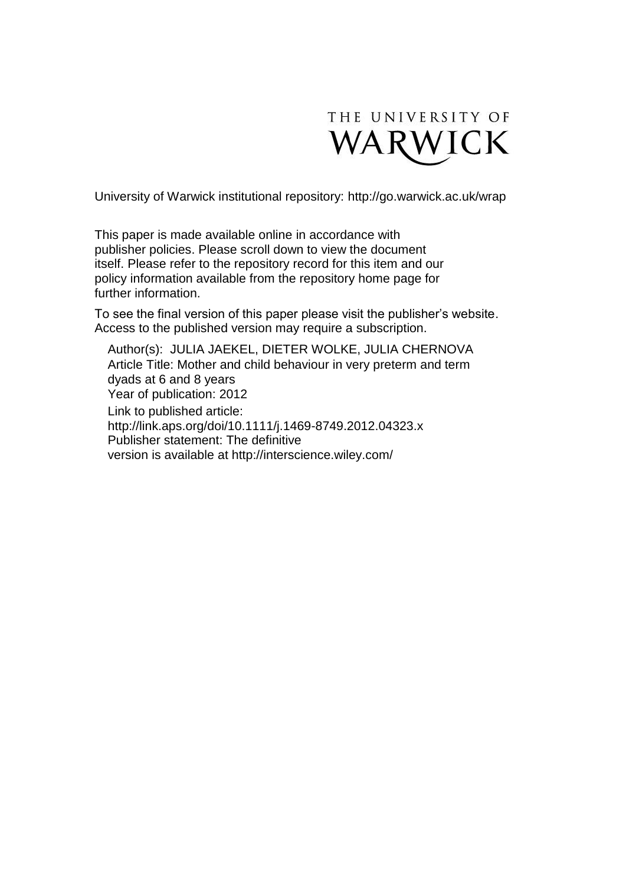

University of Warwick institutional repository:<http://go.warwick.ac.uk/wrap>

This paper is made available online in accordance with publisher policies. Please scroll down to view the document itself. Please refer to the repository record for this item and our policy information available from the repository home page for further information.

To see the final version of this paper please visit the publisher's website. Access to the published version may require a subscription.

Author(s): JULIA JAEKEL, DIETER WOLKE, JULIA CHERNOVA Article Title: Mother and child behaviour in very preterm and term dyads at 6 and 8 years Year of publication: 2012 Link to published article: http://link.aps.org/doi/10.1111/j.1469-8749.2012.04323.x Publisher statement: The definitive version is available at http://interscience.wiley.com/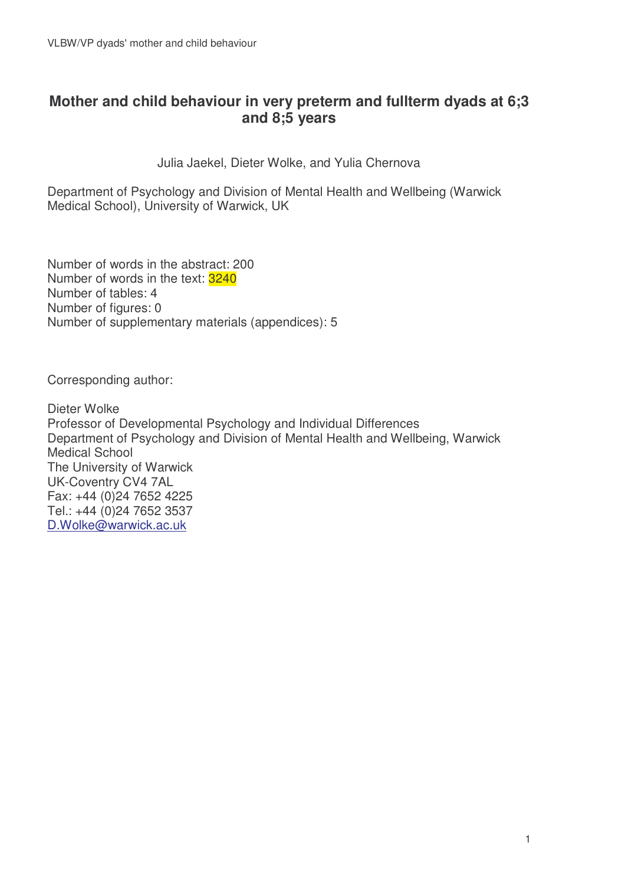# **Mother and child behaviour in very preterm and fullterm dyads at 6;3 and 8;5 years**

Julia Jaekel, Dieter Wolke, and Yulia Chernova

Department of Psychology and Division of Mental Health and Wellbeing (Warwick Medical School), University of Warwick, UK

Number of words in the abstract: 200 Number of words in the text: 3240 Number of tables: 4 Number of figures: 0 Number of supplementary materials (appendices): 5

Corresponding author:

Dieter Wolke Professor of Developmental Psychology and Individual Differences Department of Psychology and Division of Mental Health and Wellbeing, Warwick Medical School The University of Warwick UK-Coventry CV4 7AL Fax: +44 (0)24 7652 4225 Tel.: +44 (0)24 7652 3537 D.Wolke@warwick.ac.uk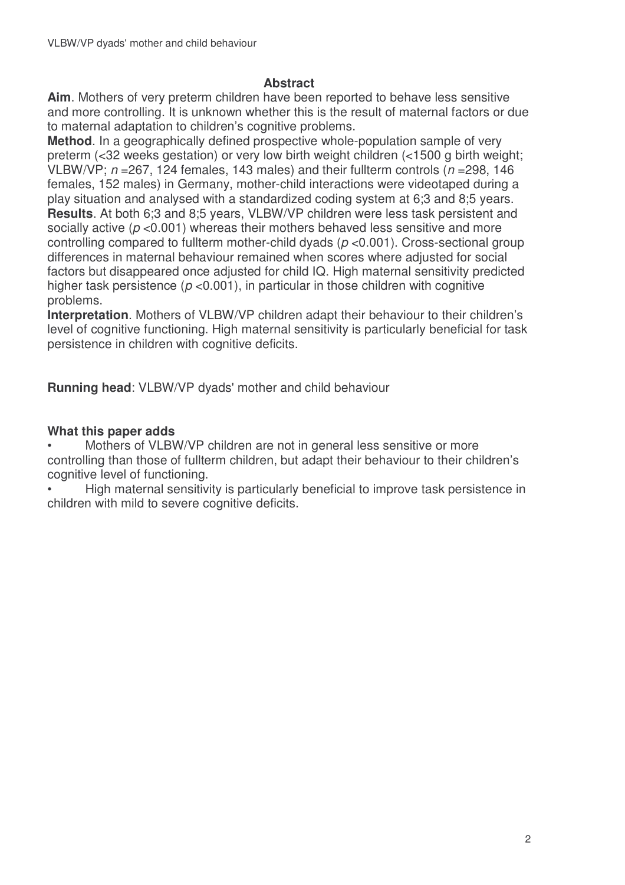# **Abstract**

**Aim**. Mothers of very preterm children have been reported to behave less sensitive and more controlling. It is unknown whether this is the result of maternal factors or due to maternal adaptation to children's cognitive problems.

**Method**. In a geographically defined prospective whole-population sample of very preterm (<32 weeks gestation) or very low birth weight children (<1500 g birth weight; VLBW/VP; *n* =267, 124 females, 143 males) and their fullterm controls (*n* =298, 146 females, 152 males) in Germany, mother-child interactions were videotaped during a play situation and analysed with a standardized coding system at 6;3 and 8;5 years. **Results**. At both 6;3 and 8;5 years, VLBW/VP children were less task persistent and socially active (*p* <0.001) whereas their mothers behaved less sensitive and more controlling compared to fullterm mother-child dyads (*p* <0.001). Cross-sectional group differences in maternal behaviour remained when scores where adjusted for social factors but disappeared once adjusted for child IQ. High maternal sensitivity predicted higher task persistence ( $p < 0.001$ ), in particular in those children with cognitive problems.

**Interpretation**. Mothers of VLBW/VP children adapt their behaviour to their children's level of cognitive functioning. High maternal sensitivity is particularly beneficial for task persistence in children with cognitive deficits.

**Running head**: VLBW/VP dyads' mother and child behaviour

## **What this paper adds**

• Mothers of VLBW/VP children are not in general less sensitive or more controlling than those of fullterm children, but adapt their behaviour to their children's cognitive level of functioning.

• High maternal sensitivity is particularly beneficial to improve task persistence in children with mild to severe cognitive deficits.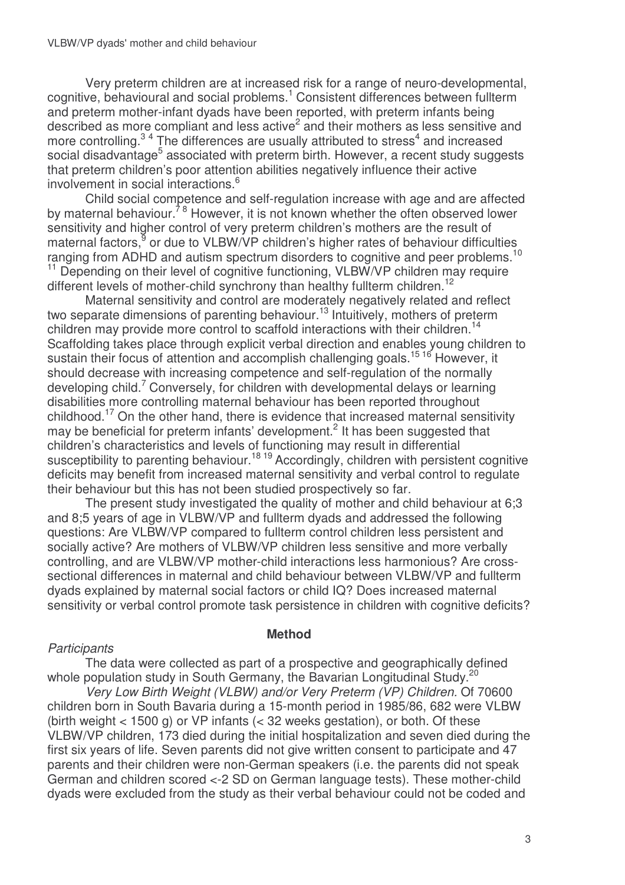Very preterm children are at increased risk for a range of neuro-developmental, cognitive, behavioural and social problems. <sup>1</sup> Consistent differences between fullterm and preterm mother-infant dyads have been reported, with preterm infants being described as more compliant and less active<sup>2</sup> and their mothers as less sensitive and more controlling.<sup>34</sup> The differences are usually attributed to stress<sup>4</sup> and increased social disadvantage<sup>5</sup> associated with preterm birth. However, a recent study suggests that preterm children's poor attention abilities negatively influence their active involvement in social interactions. 6

Child social competence and self-regulation increase with age and are affected by maternal behaviour.<sup>78</sup> However, it is not known whether the often observed lower sensitivity and higher control of very preterm children's mothers are the result of maternal factors,<sup>9</sup> or due to VLBW/VP children's higher rates of behaviour difficulties ranging from ADHD and autism spectrum disorders to cognitive and peer problems.<sup>10</sup> <sup>11</sup> Depending on their level of cognitive functioning, VLBW/VP children may require different levels of mother-child synchrony than healthy fullterm children.<sup>12</sup>

Maternal sensitivity and control are moderately negatively related and reflect two separate dimensions of parenting behaviour.<sup>13</sup> Intuitively, mothers of preterm children may provide more control to scaffold interactions with their children.<sup>14</sup> Scaffolding takes place through explicit verbal direction and enables young children to sustain their focus of attention and accomplish challenging goals.<sup>15 16</sup> However, it should decrease with increasing competence and self-regulation of the normally developing child.<sup>7</sup> Conversely, for children with developmental delays or learning disabilities more controlling maternal behaviour has been reported throughout childhood.<sup>17</sup> On the other hand, there is evidence that increased maternal sensitivity may be beneficial for preterm infants' development.<sup>2</sup> It has been suggested that children's characteristics and levels of functioning may result in differential susceptibility to parenting behaviour.<sup>18 19</sup> Accordingly, children with persistent cognitive deficits may benefit from increased maternal sensitivity and verbal control to regulate their behaviour but this has not been studied prospectively so far*.*

The present study investigated the quality of mother and child behaviour at 6;3 and 8;5 years of age in VLBW/VP and fullterm dyads and addressed the following questions: Are VLBW/VP compared to fullterm control children less persistent and socially active? Are mothers of VLBW/VP children less sensitive and more verbally controlling, and are VLBW/VP mother-child interactions less harmonious? Are crosssectional differences in maternal and child behaviour between VLBW/VP and fullterm dyads explained by maternal social factors or child IQ? Does increased maternal sensitivity or verbal control promote task persistence in children with cognitive deficits?

#### *Participants*

#### **Method**

The data were collected as part of a prospective and geographically defined whole population study in South Germany, the Bavarian Longitudinal Study.<sup>20</sup>

*Very Low Birth Weight (VLBW) and/or Very Preterm (VP) Children.* Of 70600 children born in South Bavaria during a 15-month period in 1985/86, 682 were VLBW (birth weight < 1500 g) or VP infants (< 32 weeks gestation), or both. Of these VLBW/VP children, 173 died during the initial hospitalization and seven died during the first six years of life. Seven parents did not give written consent to participate and 47 parents and their children were non-German speakers (i.e. the parents did not speak German and children scored <-2 SD on German language tests). These mother-child dyads were excluded from the study as their verbal behaviour could not be coded and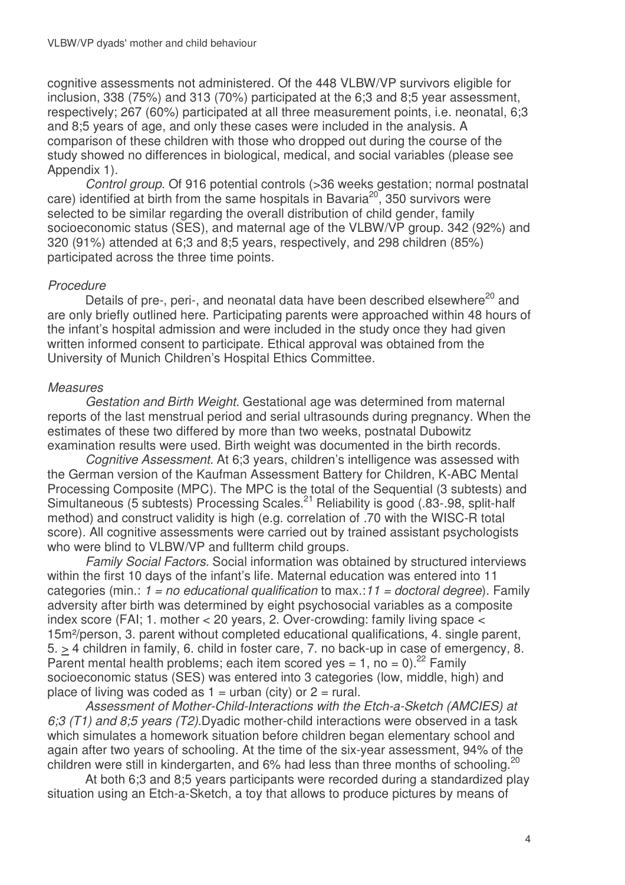cognitive assessments not administered. Of the 448 VLBW/VP survivors eligible for inclusion, 338 (75%) and 313 (70%) participated at the 6;3 and 8;5 year assessment, respectively; 267 (60%) participated at all three measurement points, i.e. neonatal, 6;3 and 8;5 years of age, and only these cases were included in the analysis. A comparison of these children with those who dropped out during the course of the study showed no differences in biological, medical, and social variables (please see Appendix 1).

*Control group*. Of 916 potential controls (>36 weeks gestation; normal postnatal care) identified at birth from the same hospitals in Bavaria<sup>20</sup>, 350 survivors were selected to be similar regarding the overall distribution of child gender, family socioeconomic status (SES), and maternal age of the VLBW/VP group. 342 (92%) and 320 (91%) attended at 6;3 and 8;5 years, respectively, and 298 children (85%) participated across the three time points.

### *Procedure*

Details of pre-, peri-, and neonatal data have been described elsewhere<sup>20</sup> and are only briefly outlined here. Participating parents were approached within 48 hours of the infant's hospital admission and were included in the study once they had given written informed consent to participate. Ethical approval was obtained from the University of Munich Children's Hospital Ethics Committee.

### *Measures*

*Gestation and Birth Weight.* Gestational age was determined from maternal reports of the last menstrual period and serial ultrasounds during pregnancy. When the estimates of these two differed by more than two weeks, postnatal Dubowitz examination results were used. Birth weight was documented in the birth records.

*Cognitive Assessment.* At 6;3 years, children's intelligence was assessed with the German version of the Kaufman Assessment Battery for Children, K-ABC Mental Processing Composite (MPC). The MPC is the total of the Sequential (3 subtests) and Simultaneous (5 subtests) Processing Scales.<sup>21</sup> Reliability is good (.83-.98, split-half method) and construct validity is high (e.g. correlation of .70 with the WISC-R total score). All cognitive assessments were carried out by trained assistant psychologists who were blind to VLBW/VP and fullterm child groups.

*Family Social Factors.* Social information was obtained by structured interviews within the first 10 days of the infant's life. Maternal education was entered into 11 categories (min.: *1 = no educational qualification* to max.:*11 = doctoral degree*). Family adversity after birth was determined by eight psychosocial variables as a composite index score (FAI; 1. mother < 20 years, 2. Over-crowding: family living space < 15m²/person, 3. parent without completed educational qualifications, 4. single parent, 5. > 4 children in family, 6. child in foster care, 7. no back-up in case of emergency, 8. Parent mental health problems; each item scored yes = 1, no = 0).<sup>22</sup> Family socioeconomic status (SES) was entered into 3 categories (low, middle, high) and place of living was coded as  $1 =$  urban (city) or  $2 =$  rural.

*Assessment of Mother-Child-Interactions with the Etch-a-Sketch (AMCIES) at 6;3 (T1) and 8;5 years (T2).*Dyadic mother-child interactions were observed in a task which simulates a homework situation before children began elementary school and again after two years of schooling. At the time of the six-year assessment, 94% of the children were still in kindergarten, and 6% had less than three months of schooling.<sup>20</sup>

At both 6;3 and 8;5 years participants were recorded during a standardized play situation using an Etch-a-Sketch, a toy that allows to produce pictures by means of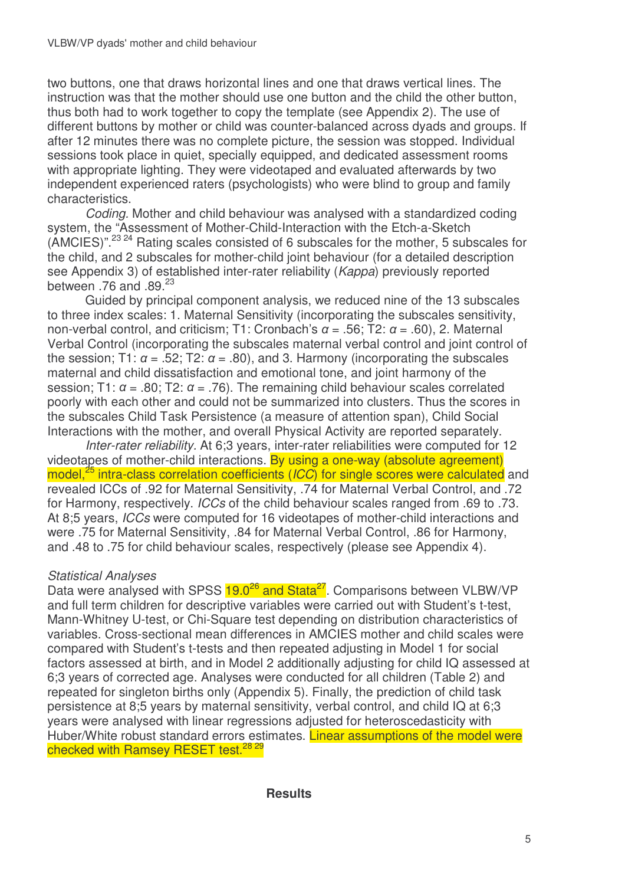two buttons, one that draws horizontal lines and one that draws vertical lines. The instruction was that the mother should use one button and the child the other button, thus both had to work together to copy the template (see Appendix 2). The use of different buttons by mother or child was counter-balanced across dyads and groups. If after 12 minutes there was no complete picture, the session was stopped. Individual sessions took place in quiet, specially equipped, and dedicated assessment rooms with appropriate lighting. They were videotaped and evaluated afterwards by two independent experienced raters (psychologists) who were blind to group and family characteristics.

*Coding.* Mother and child behaviour was analysed with a standardized coding system, the "Assessment of Mother-Child-Interaction with the Etch-a-Sketch (AMCIES)". <sup>23</sup> <sup>24</sup> Rating scales consisted of 6 subscales for the mother, 5 subscales for the child, and 2 subscales for mother-child joint behaviour (for a detailed description see Appendix 3) of established inter-rater reliability (*Kappa*) previously reported between .76 and .89.<sup>23</sup>

Guided by principal component analysis, we reduced nine of the 13 subscales to three index scales: 1. Maternal Sensitivity (incorporating the subscales sensitivity, non-verbal control, and criticism; T1: Cronbach's  $\alpha = .56$ ; T2:  $\alpha = .60$ ), 2. Maternal Verbal Control (incorporating the subscales maternal verbal control and joint control of the session; T1:  $\alpha = .52$ ; T2:  $\alpha = .80$ ), and 3. Harmony (incorporating the subscales maternal and child dissatisfaction and emotional tone, and joint harmony of the session; T1:  $\alpha = .80$ ; T2:  $\alpha = .76$ ). The remaining child behaviour scales correlated poorly with each other and could not be summarized into clusters. Thus the scores in the subscales Child Task Persistence (a measure of attention span), Child Social Interactions with the mother, and overall Physical Activity are reported separately.

*Inter-rater reliability.* At 6;3 years, inter-rater reliabilities were computed for 12 videotapes of mother-child interactions. By using a one-way (absolute agreement) model, 25 intra-class correlation coefficients (*ICC*) for single scores were calculated and revealed ICCs of .92 for Maternal Sensitivity, .74 for Maternal Verbal Control, and .72 for Harmony, respectively. *ICCs* of the child behaviour scales ranged from .69 to .73. At 8;5 years, *ICCs* were computed for 16 videotapes of mother-child interactions and were .75 for Maternal Sensitivity, .84 for Maternal Verbal Control, .86 for Harmony, and .48 to .75 for child behaviour scales, respectively (please see Appendix 4).

# *Statistical Analyses*

Data were analysed with SPSS 19.0<sup>26</sup> and Stata<sup>27</sup>. Comparisons between VLBW/VP and full term children for descriptive variables were carried out with Student's t-test, Mann-Whitney U-test, or Chi-Square test depending on distribution characteristics of variables. Cross-sectional mean differences in AMCIES mother and child scales were compared with Student's t-tests and then repeated adjusting in Model 1 for social factors assessed at birth, and in Model 2 additionally adjusting for child IQ assessed at 6;3 years of corrected age. Analyses were conducted for all children (Table 2) and repeated for singleton births only (Appendix 5). Finally, the prediction of child task persistence at 8;5 years by maternal sensitivity, verbal control, and child IQ at 6;3 years were analysed with linear regressions adjusted for heteroscedasticity with Huber/White robust standard errors estimates. Linear assumptions of the model were checked with Ramsey RESET test.<sup>28 29</sup>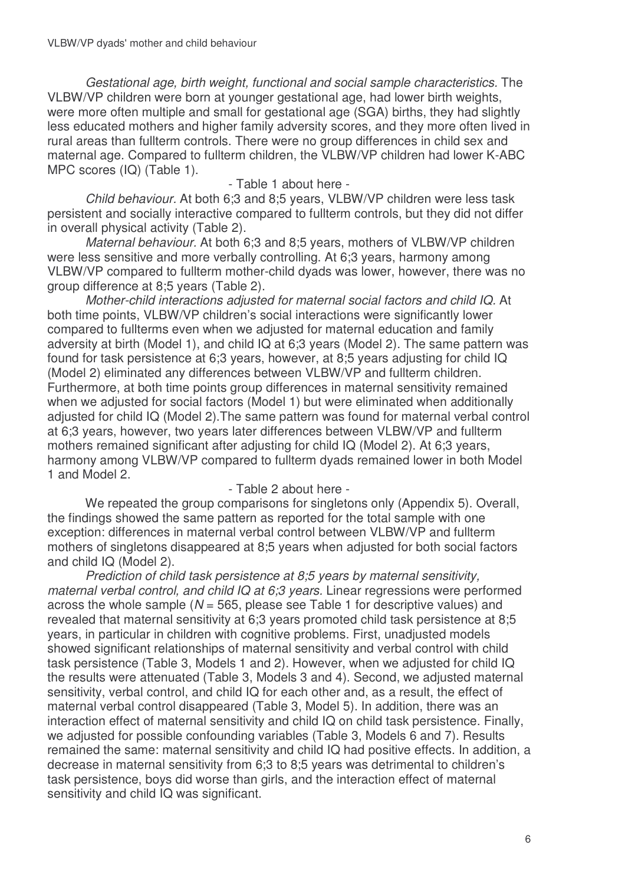*Gestational age, birth weight, functional and social sample characteristics.* The VLBW/VP children were born at younger gestational age, had lower birth weights, were more often multiple and small for gestational age (SGA) births, they had slightly less educated mothers and higher family adversity scores, and they more often lived in rural areas than fullterm controls. There were no group differences in child sex and maternal age. Compared to fullterm children, the VLBW/VP children had lower K-ABC MPC scores (IQ) (Table 1).

- Table 1 about here -

*Child behaviour.* At both 6;3 and 8;5 years, VLBW/VP children were less task persistent and socially interactive compared to fullterm controls, but they did not differ in overall physical activity (Table 2).

*Maternal behaviour.* At both 6;3 and 8;5 years, mothers of VLBW/VP children were less sensitive and more verbally controlling. At 6;3 years, harmony among VLBW/VP compared to fullterm mother-child dyads was lower, however, there was no group difference at 8;5 years (Table 2).

*Mother-child interactions adjusted for maternal social factors and child IQ.* At both time points, VLBW/VP children's social interactions were significantly lower compared to fullterms even when we adjusted for maternal education and family adversity at birth (Model 1), and child IQ at 6;3 years (Model 2). The same pattern was found for task persistence at 6;3 years, however, at 8;5 years adjusting for child IQ (Model 2) eliminated any differences between VLBW/VP and fullterm children. Furthermore, at both time points group differences in maternal sensitivity remained when we adjusted for social factors (Model 1) but were eliminated when additionally adjusted for child IQ (Model 2).The same pattern was found for maternal verbal control at 6;3 years, however, two years later differences between VLBW/VP and fullterm mothers remained significant after adjusting for child IQ (Model 2). At 6;3 years, harmony among VLBW/VP compared to fullterm dyads remained lower in both Model 1 and Model 2.

#### - Table 2 about here -

We repeated the group comparisons for singletons only (Appendix 5). Overall, the findings showed the same pattern as reported for the total sample with one exception: differences in maternal verbal control between VLBW/VP and fullterm mothers of singletons disappeared at 8;5 years when adjusted for both social factors and child IQ (Model 2).

*Prediction of child task persistence at 8;5 years by maternal sensitivity, maternal verbal control, and child IQ at 6;3 years.* Linear regressions were performed across the whole sample (*N* = 565, please see Table 1 for descriptive values) and revealed that maternal sensitivity at 6;3 years promoted child task persistence at 8;5 years, in particular in children with cognitive problems. First, unadjusted models showed significant relationships of maternal sensitivity and verbal control with child task persistence (Table 3, Models 1 and 2). However, when we adjusted for child IQ the results were attenuated (Table 3, Models 3 and 4). Second, we adjusted maternal sensitivity, verbal control, and child IQ for each other and, as a result, the effect of maternal verbal control disappeared (Table 3, Model 5). In addition, there was an interaction effect of maternal sensitivity and child IQ on child task persistence. Finally, we adjusted for possible confounding variables (Table 3, Models 6 and 7). Results remained the same: maternal sensitivity and child IQ had positive effects. In addition, a decrease in maternal sensitivity from 6;3 to 8;5 years was detrimental to children's task persistence, boys did worse than girls, and the interaction effect of maternal sensitivity and child IQ was significant.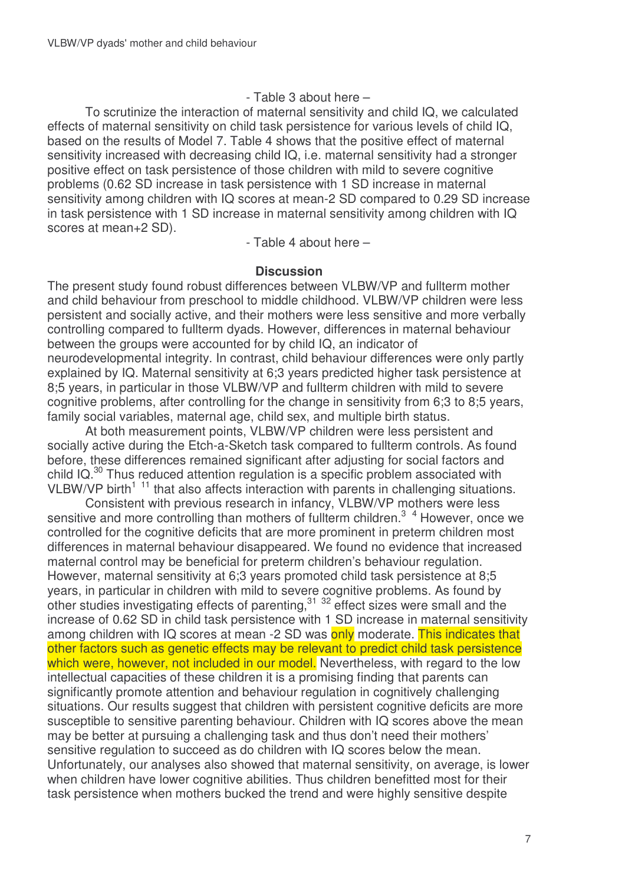### - Table 3 about here –

To scrutinize the interaction of maternal sensitivity and child IQ, we calculated effects of maternal sensitivity on child task persistence for various levels of child IQ, based on the results of Model 7. Table 4 shows that the positive effect of maternal sensitivity increased with decreasing child IQ, i.e. maternal sensitivity had a stronger positive effect on task persistence of those children with mild to severe cognitive problems (0.62 SD increase in task persistence with 1 SD increase in maternal sensitivity among children with IQ scores at mean-2 SD compared to 0.29 SD increase in task persistence with 1 SD increase in maternal sensitivity among children with IQ scores at mean+2 SD).

- Table 4 about here –

### **Discussion**

The present study found robust differences between VLBW/VP and fullterm mother and child behaviour from preschool to middle childhood. VLBW/VP children were less persistent and socially active, and their mothers were less sensitive and more verbally controlling compared to fullterm dyads. However, differences in maternal behaviour between the groups were accounted for by child IQ, an indicator of neurodevelopmental integrity. In contrast, child behaviour differences were only partly explained by IQ. Maternal sensitivity at 6;3 years predicted higher task persistence at 8;5 years, in particular in those VLBW/VP and fullterm children with mild to severe cognitive problems, after controlling for the change in sensitivity from 6;3 to 8;5 years, family social variables, maternal age, child sex, and multiple birth status.

At both measurement points, VLBW/VP children were less persistent and socially active during the Etch-a-Sketch task compared to fullterm controls. As found before, these differences remained significant after adjusting for social factors and child IQ.<sup>30</sup> Thus reduced attention regulation is a specific problem associated with VLBW/VP birth<sup>1 11</sup> that also affects interaction with parents in challenging situations.

Consistent with previous research in infancy, VLBW/VP mothers were less sensitive and more controlling than mothers of fullterm children.<sup>3</sup> <sup>4</sup> However, once we controlled for the cognitive deficits that are more prominent in preterm children most differences in maternal behaviour disappeared. We found no evidence that increased maternal control may be beneficial for preterm children's behaviour regulation. However, maternal sensitivity at 6;3 years promoted child task persistence at 8;5 years, in particular in children with mild to severe cognitive problems. As found by other studies investigating effects of parenting,  $31\,32$  effect sizes were small and the increase of 0.62 SD in child task persistence with 1 SD increase in maternal sensitivity among children with IQ scores at mean -2 SD was only moderate. This indicates that other factors such as genetic effects may be relevant to predict child task persistence which were, however, not included in our model. Nevertheless, with regard to the low intellectual capacities of these children it is a promising finding that parents can significantly promote attention and behaviour regulation in cognitively challenging situations. Our results suggest that children with persistent cognitive deficits are more susceptible to sensitive parenting behaviour. Children with IQ scores above the mean may be better at pursuing a challenging task and thus don't need their mothers' sensitive regulation to succeed as do children with IQ scores below the mean. Unfortunately, our analyses also showed that maternal sensitivity, on average, is lower when children have lower cognitive abilities. Thus children benefitted most for their task persistence when mothers bucked the trend and were highly sensitive despite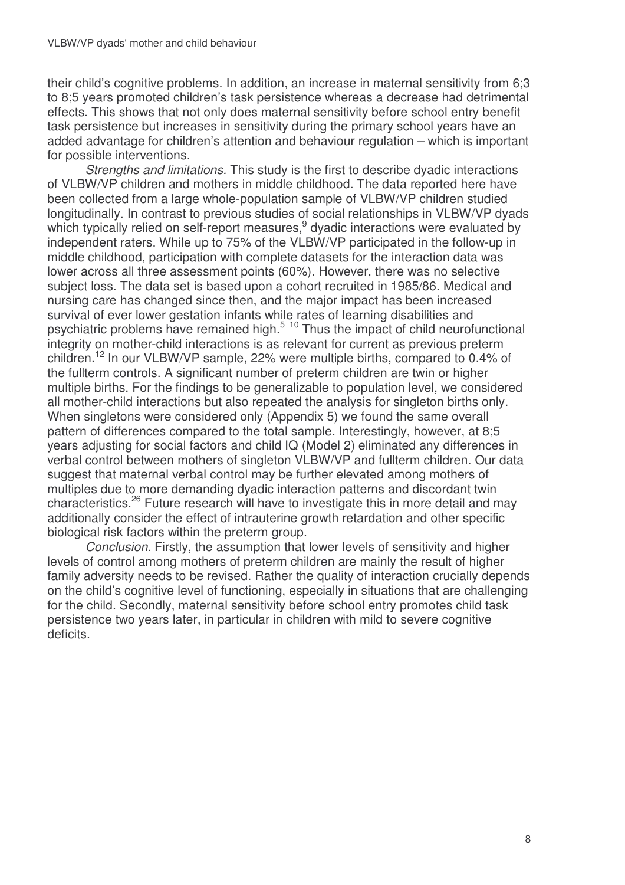their child's cognitive problems. In addition, an increase in maternal sensitivity from 6;3 to 8;5 years promoted children's task persistence whereas a decrease had detrimental effects. This shows that not only does maternal sensitivity before school entry benefit task persistence but increases in sensitivity during the primary school years have an added advantage for children's attention and behaviour regulation – which is important for possible interventions.

*Strengths and limitations.* This study is the first to describe dyadic interactions of VLBW/VP children and mothers in middle childhood. The data reported here have been collected from a large whole-population sample of VLBW/VP children studied longitudinally. In contrast to previous studies of social relationships in VLBW/VP dyads which typically relied on self-report measures,<sup>9</sup> dyadic interactions were evaluated by independent raters. While up to 75% of the VLBW/VP participated in the follow-up in middle childhood, participation with complete datasets for the interaction data was lower across all three assessment points (60%). However, there was no selective subject loss. The data set is based upon a cohort recruited in 1985/86. Medical and nursing care has changed since then, and the major impact has been increased survival of ever lower gestation infants while rates of learning disabilities and psychiatric problems have remained high.<sup>5 10</sup> Thus the impact of child neurofunctional integrity on mother-child interactions is as relevant for current as previous preterm children.<sup>12</sup> In our VLBW/VP sample, 22% were multiple births, compared to 0.4% of the fullterm controls. A significant number of preterm children are twin or higher multiple births. For the findings to be generalizable to population level, we considered all mother-child interactions but also repeated the analysis for singleton births only. When singletons were considered only (Appendix 5) we found the same overall pattern of differences compared to the total sample. Interestingly, however, at 8;5 years adjusting for social factors and child IQ (Model 2) eliminated any differences in verbal control between mothers of singleton VLBW/VP and fullterm children. Our data suggest that maternal verbal control may be further elevated among mothers of multiples due to more demanding dyadic interaction patterns and discordant twin characteristics.<sup>26</sup> Future research will have to investigate this in more detail and may additionally consider the effect of intrauterine growth retardation and other specific biological risk factors within the preterm group.

*Conclusion.* Firstly, the assumption that lower levels of sensitivity and higher levels of control among mothers of preterm children are mainly the result of higher family adversity needs to be revised. Rather the quality of interaction crucially depends on the child's cognitive level of functioning, especially in situations that are challenging for the child. Secondly, maternal sensitivity before school entry promotes child task persistence two years later, in particular in children with mild to severe cognitive deficits.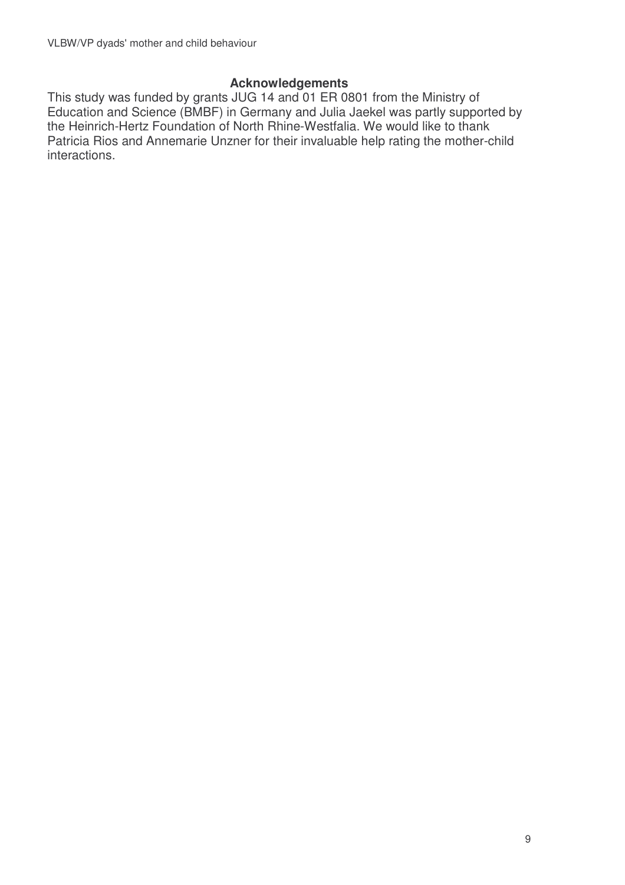## **Acknowledgements**

This study was funded by grants JUG 14 and 01 ER 0801 from the Ministry of Education and Science (BMBF) in Germany and Julia Jaekel was partly supported by the Heinrich-Hertz Foundation of North Rhine-Westfalia. We would like to thank Patricia Rios and Annemarie Unzner for their invaluable help rating the mother-child interactions.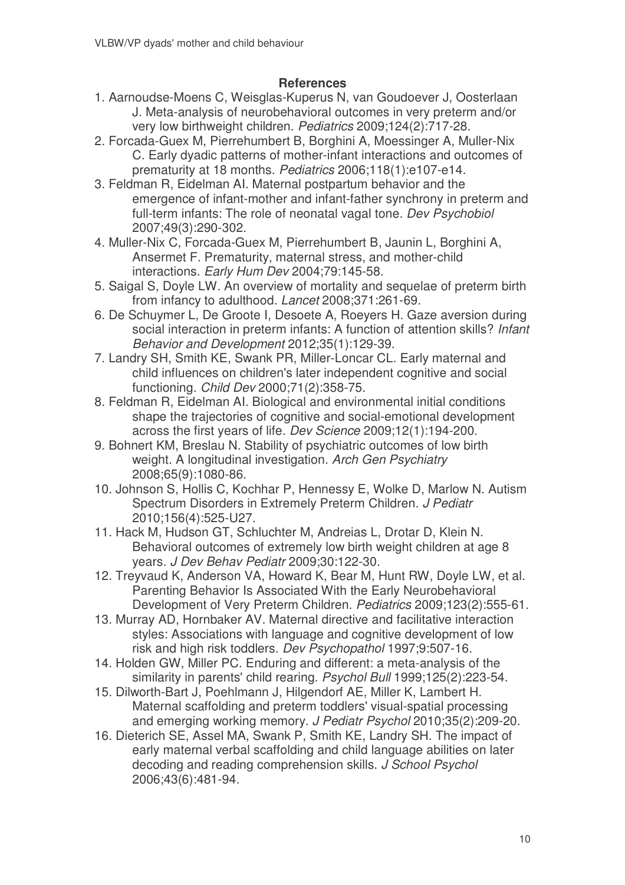## **References**

- 1. Aarnoudse-Moens C, Weisglas-Kuperus N, van Goudoever J, Oosterlaan J. Meta-analysis of neurobehavioral outcomes in very preterm and/or very low birthweight children. *Pediatrics* 2009;124(2):717-28.
- 2. Forcada-Guex M, Pierrehumbert B, Borghini A, Moessinger A, Muller-Nix C. Early dyadic patterns of mother-infant interactions and outcomes of prematurity at 18 months. *Pediatrics* 2006;118(1):e107-e14.
- 3. Feldman R, Eidelman AI. Maternal postpartum behavior and the emergence of infant-mother and infant-father synchrony in preterm and full-term infants: The role of neonatal vagal tone. *Dev Psychobiol* 2007;49(3):290-302.
- 4. Muller-Nix C, Forcada-Guex M, Pierrehumbert B, Jaunin L, Borghini A, Ansermet F. Prematurity, maternal stress, and mother-child interactions. *Early Hum Dev* 2004;79:145-58.
- 5. Saigal S, Doyle LW. An overview of mortality and sequelae of preterm birth from infancy to adulthood. *Lancet* 2008;371:261-69.
- 6. De Schuymer L, De Groote I, Desoete A, Roeyers H. Gaze aversion during social interaction in preterm infants: A function of attention skills? *Infant Behavior and Development* 2012;35(1):129-39.
- 7. Landry SH, Smith KE, Swank PR, Miller-Loncar CL. Early maternal and child influences on children's later independent cognitive and social functioning. *Child Dev* 2000;71(2):358-75.
- 8. Feldman R, Eidelman AI. Biological and environmental initial conditions shape the trajectories of cognitive and social-emotional development across the first years of life. *Dev Science* 2009;12(1):194-200.
- 9. Bohnert KM, Breslau N. Stability of psychiatric outcomes of low birth weight. A longitudinal investigation. *Arch Gen Psychiatry* 2008;65(9):1080-86.
- 10. Johnson S, Hollis C, Kochhar P, Hennessy E, Wolke D, Marlow N. Autism Spectrum Disorders in Extremely Preterm Children. *J Pediatr* 2010;156(4):525-U27.
- 11. Hack M, Hudson GT, Schluchter M, Andreias L, Drotar D, Klein N. Behavioral outcomes of extremely low birth weight children at age 8 years. *J Dev Behav Pediatr* 2009;30:122-30.
- 12. Treyvaud K, Anderson VA, Howard K, Bear M, Hunt RW, Doyle LW, et al. Parenting Behavior Is Associated With the Early Neurobehavioral Development of Very Preterm Children. *Pediatrics* 2009;123(2):555-61.
- 13. Murray AD, Hornbaker AV. Maternal directive and facilitative interaction styles: Associations with language and cognitive development of low risk and high risk toddlers. *Dev Psychopathol* 1997;9:507-16.
- 14. Holden GW, Miller PC. Enduring and different: a meta-analysis of the similarity in parents' child rearing. *Psychol Bull* 1999;125(2):223-54.
- 15. Dilworth-Bart J, Poehlmann J, Hilgendorf AE, Miller K, Lambert H. Maternal scaffolding and preterm toddlers' visual-spatial processing and emerging working memory. *J Pediatr Psychol* 2010;35(2):209-20.
- 16. Dieterich SE, Assel MA, Swank P, Smith KE, Landry SH. The impact of early maternal verbal scaffolding and child language abilities on later decoding and reading comprehension skills. *J School Psychol* 2006;43(6):481-94.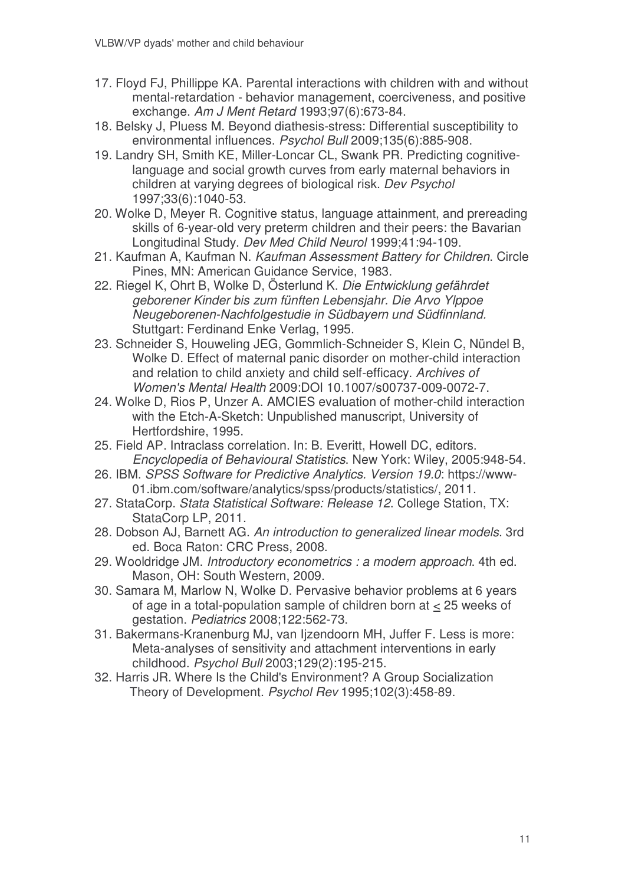- 17. Floyd FJ, Phillippe KA. Parental interactions with children with and without mental-retardation - behavior management, coerciveness, and positive exchange. *Am J Ment Retard* 1993;97(6):673-84.
- 18. Belsky J, Pluess M. Beyond diathesis-stress: Differential susceptibility to environmental influences. *Psychol Bull* 2009;135(6):885-908.
- 19. Landry SH, Smith KE, Miller-Loncar CL, Swank PR. Predicting cognitivelanguage and social growth curves from early maternal behaviors in children at varying degrees of biological risk. *Dev Psychol* 1997;33(6):1040-53.
- 20. Wolke D, Meyer R. Cognitive status, language attainment, and prereading skills of 6-year-old very preterm children and their peers: the Bavarian Longitudinal Study. *Dev Med Child Neurol* 1999;41:94-109.
- 21. Kaufman A, Kaufman N. *Kaufman Assessment Battery for Children*. Circle Pines, MN: American Guidance Service, 1983.
- 22. Riegel K, Ohrt B, Wolke D, Österlund K. *Die Entwicklung gefährdet geborener Kinder bis zum fünften Lebensjahr. Die Arvo Ylppoe Neugeborenen-Nachfolgestudie in Südbayern und Südfinnland.* Stuttgart: Ferdinand Enke Verlag, 1995.
- 23. Schneider S, Houweling JEG, Gommlich-Schneider S, Klein C, Nündel B, Wolke D. Effect of maternal panic disorder on mother-child interaction and relation to child anxiety and child self-efficacy. *Archives of Women's Mental Health* 2009:DOI 10.1007/s00737-009-0072-7.
- 24. Wolke D, Rios P, Unzer A. AMCIES evaluation of mother-child interaction with the Etch-A-Sketch: Unpublished manuscript, University of Hertfordshire, 1995.
- 25. Field AP. Intraclass correlation. In: B. Everitt, Howell DC, editors. *Encyclopedia of Behavioural Statistics*. New York: Wiley, 2005:948-54.
- 26. IBM. *SPSS Software for Predictive Analytics. Version 19.0*: https://www-01.ibm.com/software/analytics/spss/products/statistics/, 2011.
- 27. StataCorp. *Stata Statistical Software: Release 12*. College Station, TX: StataCorp LP, 2011.
- 28. Dobson AJ, Barnett AG. *An introduction to generalized linear models*. 3rd ed. Boca Raton: CRC Press, 2008.
- 29. Wooldridge JM. *Introductory econometrics : a modern approach*. 4th ed. Mason, OH: South Western, 2009.
- 30. Samara M, Marlow N, Wolke D. Pervasive behavior problems at 6 years of age in a total-population sample of children born at < 25 weeks of gestation. *Pediatrics* 2008;122:562-73.
- 31. Bakermans-Kranenburg MJ, van Ijzendoorn MH, Juffer F. Less is more: Meta-analyses of sensitivity and attachment interventions in early childhood. *Psychol Bull* 2003;129(2):195-215.
- 32. Harris JR. Where Is the Child's Environment? A Group Socialization Theory of Development. *Psychol Rev* 1995;102(3):458-89.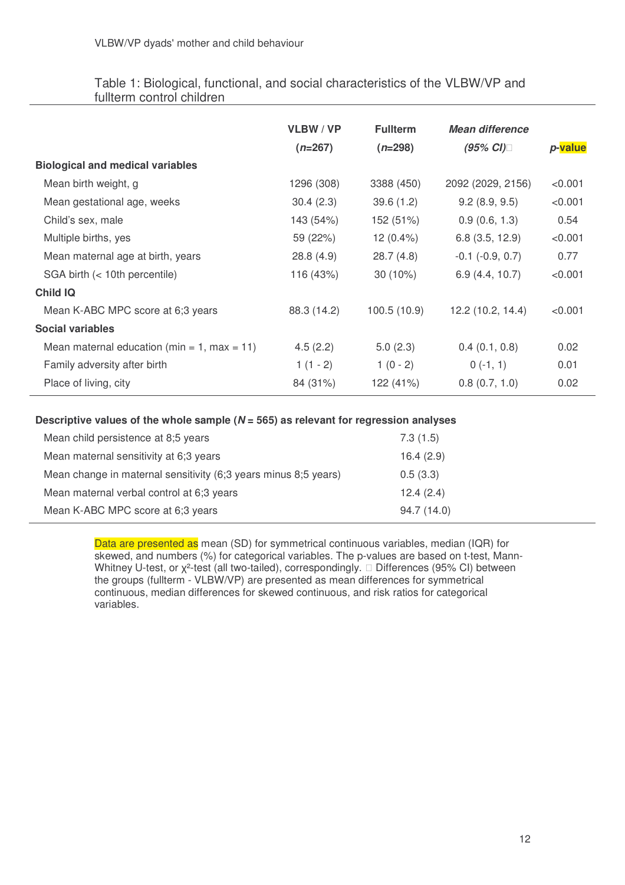| Table 1: Biological, functional, and social characteristics of the VLBW/VP and |  |  |  |
|--------------------------------------------------------------------------------|--|--|--|
| fullterm control children                                                      |  |  |  |

|                                             | <b>VLBW/VP</b> | <b>Fullterm</b> | Mean difference      |         |
|---------------------------------------------|----------------|-----------------|----------------------|---------|
|                                             | $(n=267)$      | $(n=298)$       | $(95\% \text{ Cl})$  | p-value |
| <b>Biological and medical variables</b>     |                |                 |                      |         |
| Mean birth weight, g                        | 1296 (308)     | 3388 (450)      | 2092 (2029, 2156)    | < 0.001 |
| Mean gestational age, weeks                 | 30.4(2.3)      | 39.6(1.2)       | 9.2(8.9, 9.5)        | < 0.001 |
| Child's sex, male                           | 143 (54%)      | 152 (51%)       | 0.9(0.6, 1.3)        | 0.54    |
| Multiple births, yes                        | 59 (22%)       | $12(0.4\%)$     | 6.8(3.5, 12.9)       | < 0.001 |
| Mean maternal age at birth, years           | 28.8(4.9)      | 28.7(4.8)       | $-0.1$ $(-0.9, 0.7)$ | 0.77    |
| SGA birth (< 10th percentile)               | 116 (43%)      | $30(10\%)$      | 6.9(4.4, 10.7)       | < 0.001 |
| <b>Child IQ</b>                             |                |                 |                      |         |
| Mean K-ABC MPC score at 6;3 years           | 88.3 (14.2)    | 100.5(10.9)     | 12.2 (10.2, 14.4)    | < 0.001 |
| <b>Social variables</b>                     |                |                 |                      |         |
| Mean maternal education (min = 1, max = 11) | 4.5(2.2)       | 5.0(2.3)        | 0.4(0.1, 0.8)        | 0.02    |
| Family adversity after birth                | $1(1 - 2)$     | $1(0-2)$        | $0(-1, 1)$           | 0.01    |
| Place of living, city                       | 84 (31%)       | 122 (41%)       | 0.8(0.7, 1.0)        | 0.02    |

#### **Descriptive values of the whole sample (***N* **= 565) as relevant for regression analyses**

| Mean child persistence at 8;5 years                             | 7.3(1.5)    |
|-----------------------------------------------------------------|-------------|
| Mean maternal sensitivity at 6;3 years                          | 16.4(2.9)   |
| Mean change in maternal sensitivity (6;3 years minus 8;5 years) | 0.5(3.3)    |
| Mean maternal verbal control at 6;3 years                       | 12.4(2.4)   |
| Mean K-ABC MPC score at 6:3 years                               | 94.7 (14.0) |

Data are presented as mean (SD) for symmetrical continuous variables, median (IQR) for skewed, and numbers (%) for categorical variables. The p-values are based on t-test, Mann-Whitney U-test, or  $\chi^2$ -test (all two-tailed), correspondingly. Differences (95% CI) between the groups (fullterm - VLBW/VP) are presented as mean differences for symmetrical continuous, median differences for skewed continuous, and risk ratios for categorical variables.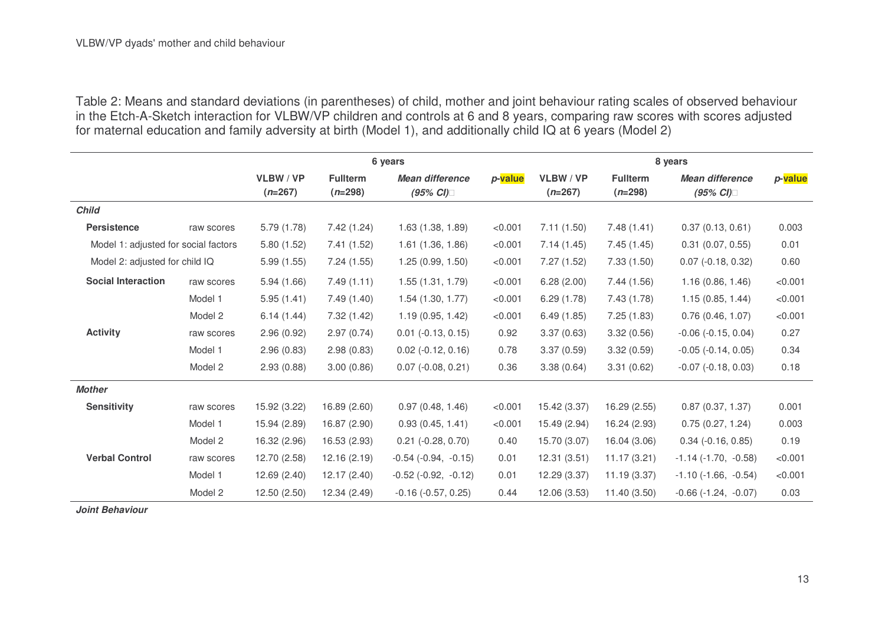Table 2: Means and standard deviations (in parentheses) of child, mother and joint behaviour rating scales of observed behaviour in the Etch-A-Sketch interaction for VLBW/VP children and controls at 6 and 8 years, comparing raw scores with scores adjusted for maternal education and family adversity at birth (Model 1), and additionally child IQ at 6 years (Model 2)

|                                      |            | 6 years                     |                              |                                               |         |                             |                              | 8 years                                       |         |
|--------------------------------------|------------|-----------------------------|------------------------------|-----------------------------------------------|---------|-----------------------------|------------------------------|-----------------------------------------------|---------|
|                                      |            | <b>VLBW/VP</b><br>$(n=267)$ | <b>Fullterm</b><br>$(n=298)$ | <b>Mean difference</b><br>$(95\% \text{ Cl})$ | p-value | <b>VLBW/VP</b><br>$(n=267)$ | <b>Fullterm</b><br>$(n=298)$ | <b>Mean difference</b><br>$(95\% \text{ Cl})$ | p-value |
| <b>Child</b>                         |            |                             |                              |                                               |         |                             |                              |                                               |         |
| <b>Persistence</b>                   | raw scores | 5.79(1.78)                  | 7.42(1.24)                   | 1.63 (1.38, 1.89)                             | < 0.001 | 7.11(1.50)                  | 7.48(1.41)                   | 0.37(0.13, 0.61)                              | 0.003   |
| Model 1: adjusted for social factors |            | 5.80(1.52)                  | 7.41(1.52)                   | 1.61 (1.36, 1.86)                             | < 0.001 | 7.14(1.45)                  | 7.45(1.45)                   | $0.31$ (0.07, 0.55)                           | 0.01    |
| Model 2: adjusted for child IQ       |            | 5.99(1.55)                  | 7.24(1.55)                   | 1.25(0.99, 1.50)                              | < 0.001 | 7.27(1.52)                  | 7.33(1.50)                   | $0.07$ (-0.18, 0.32)                          | 0.60    |
| <b>Social Interaction</b>            | raw scores | 5.94(1.66)                  | 7.49(1.11)                   | 1.55(1.31, 1.79)                              | < 0.001 | 6.28(2.00)                  | 7.44(1.56)                   | 1.16(0.86, 1.46)                              | < 0.001 |
|                                      | Model 1    | 5.95(1.41)                  | 7.49(1.40)                   | 1.54(1.30, 1.77)                              | < 0.001 | 6.29(1.78)                  | 7.43(1.78)                   | 1.15(0.85, 1.44)                              | < 0.001 |
|                                      | Model 2    | 6.14(1.44)                  | 7.32(1.42)                   | 1.19(0.95, 1.42)                              | < 0.001 | 6.49(1.85)                  | 7.25(1.83)                   | 0.76(0.46, 1.07)                              | < 0.001 |
| <b>Activity</b>                      | raw scores | 2.96(0.92)                  | 2.97(0.74)                   | $0.01$ ( $-0.13$ , $0.15$ )                   | 0.92    | 3.37(0.63)                  | 3.32(0.56)                   | $-0.06$ $(-0.15, 0.04)$                       | 0.27    |
|                                      | Model 1    | 2.96(0.83)                  | 2.98(0.83)                   | $0.02$ ( $-0.12, 0.16$ )                      | 0.78    | 3.37(0.59)                  | 3.32(0.59)                   | $-0.05$ $(-0.14, 0.05)$                       | 0.34    |
|                                      | Model 2    | 2.93(0.88)                  | 3.00(0.86)                   | $0.07$ ( $-0.08$ , $0.21$ )                   | 0.36    | 3.38(0.64)                  | 3.31(0.62)                   | $-0.07$ $(-0.18, 0.03)$                       | 0.18    |
| <b>Mother</b>                        |            |                             |                              |                                               |         |                             |                              |                                               |         |
| <b>Sensitivity</b>                   | raw scores | 15.92 (3.22)                | 16.89 (2.60)                 | 0.97(0.48, 1.46)                              | < 0.001 | 15.42 (3.37)                | 16.29 (2.55)                 | 0.87(0.37, 1.37)                              | 0.001   |
|                                      | Model 1    | 15.94 (2.89)                | 16.87 (2.90)                 | 0.93(0.45, 1.41)                              | < 0.001 | 15.49 (2.94)                | 16.24 (2.93)                 | 0.75(0.27, 1.24)                              | 0.003   |
|                                      | Model 2    | 16.32 (2.96)                | 16.53 (2.93)                 | $0.21$ ( $-0.28$ , $0.70$ )                   | 0.40    | 15.70 (3.07)                | 16.04 (3.06)                 | $0.34$ ( $-0.16$ , $0.85$ )                   | 0.19    |
| <b>Verbal Control</b>                | raw scores | 12.70 (2.58)                | 12.16(2.19)                  | $-0.54$ $(-0.94, -0.15)$                      | 0.01    | 12.31(3.51)                 | 11.17(3.21)                  | $-1.14$ $(-1.70, -0.58)$                      | < 0.001 |
|                                      | Model 1    | 12.69 (2.40)                | 12.17(2.40)                  | $-0.52$ $(-0.92, -0.12)$                      | 0.01    | 12.29 (3.37)                | 11.19(3.37)                  | $-1.10(-1.66, -0.54)$                         | < 0.001 |
|                                      | Model 2    | 12.50 (2.50)                | 12.34 (2.49)                 | $-0.16$ $(-0.57, 0.25)$                       | 0.44    | 12.06(3.53)                 | 11.40 (3.50)                 | $-0.66$ $(-1.24, -0.07)$                      | 0.03    |

*Joint Behaviour*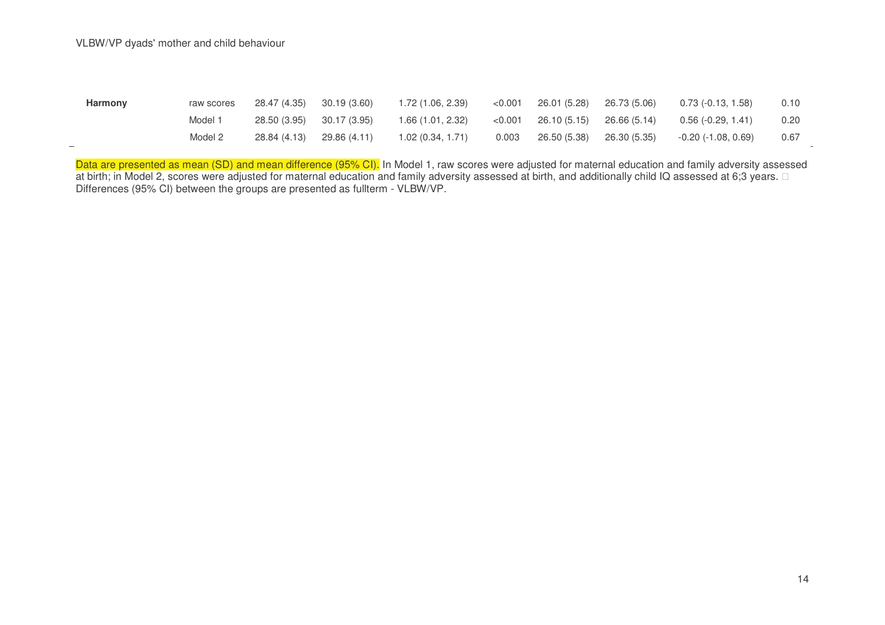| Harmony | raw scores | 28.47 (4.35) | 30.19 (3.60)              | 1.72 (1.06, 2.39) | $<$ 0.001 $<$ | 26.01 (5.28)              | 26.73 (5.06) | $0.73$ (-0.13, 1.58)  | 0.10 |
|---------|------------|--------------|---------------------------|-------------------|---------------|---------------------------|--------------|-----------------------|------|
|         | Model 1    |              | 28.50 (3.95) 30.17 (3.95) | 1.66(1.01, 2.32)  | $<$ 0.001 $-$ | 26.10 (5.15) 26.66 (5.14) |              | $0.56$ (-0.29, 1.41)  | 0.20 |
|         | Model 2    |              | 28.84 (4.13) 29.86 (4.11) | 1.02 (0.34, 1.71) | 0.003         | 26.50 (5.38)              | 26.30 (5.35) | $-0.20$ (-1.08, 0.69) | 0.67 |

Data are presented as mean (SD) and mean difference (95% CI). In Model 1, raw scores were adjusted for maternal education and family adversity assessed at birth; in Model 2, scores were adjusted for maternal education and family adversity assessed at birth, and additionally child IQ assessed at 6;3 years. - Differences (95% CI) between the groups are presented as fullterm - VLBW/VP.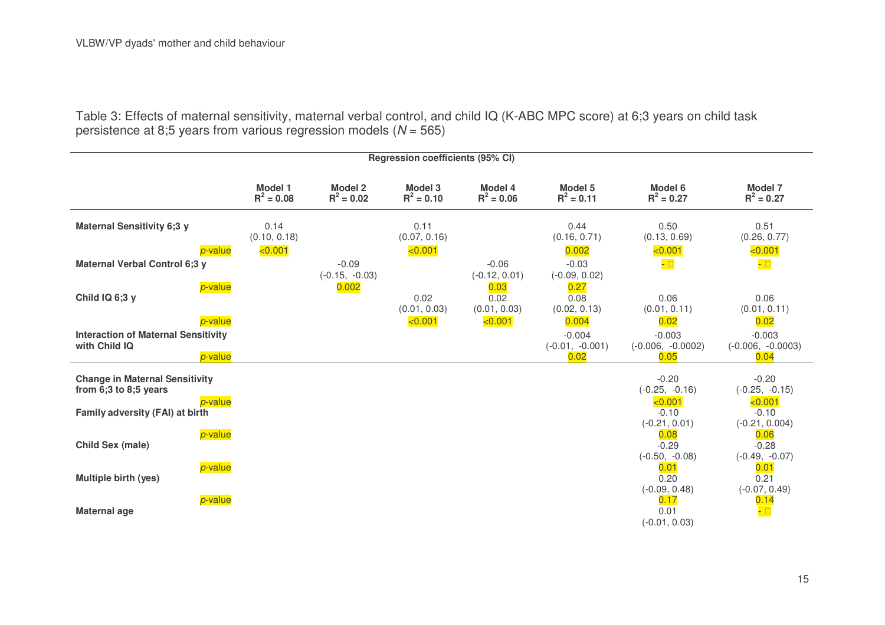Table 3: Effects of maternal sensitivity, maternal verbal control, and child IQ (K-ABC MPC score) at 6;3 years on child task persistence at 8;5 years from various regression models (*N* <sup>=</sup> 565)

| Regression coefficients (95% CI)                                              |                                 |                                      |                                 |                                    |                                       |                                                    |                                         |  |  |  |  |
|-------------------------------------------------------------------------------|---------------------------------|--------------------------------------|---------------------------------|------------------------------------|---------------------------------------|----------------------------------------------------|-----------------------------------------|--|--|--|--|
|                                                                               | <b>Model 1</b><br>$R^2 = 0.08$  | Model 2<br>$R^2 = 0.02$              | Model 3<br>$R^2 = 0.10$         | Model 4<br>$R^2 = 0.06$            | Model 5<br>$R^2 = 0.11$               | Model 6<br>$R^2 = 0.27$                            | Model 7<br>$R^2 = 0.27$                 |  |  |  |  |
| <b>Maternal Sensitivity 6;3 y</b><br>p-value                                  | 0.14<br>(0.10, 0.18)<br>< 0.001 |                                      | 0.11<br>(0.07, 0.16)<br>< 0.001 |                                    | 0.44<br>(0.16, 0.71)<br>0.002         | 0.50<br>(0.13, 0.69)<br>< 0.001                    | 0.51<br>(0.26, 0.77)<br>< 0.001         |  |  |  |  |
| Maternal Verbal Control 6;3 y<br>p-value                                      |                                 | $-0.09$<br>$(-0.15, -0.03)$<br>0.002 |                                 | $-0.06$<br>$(-0.12, 0.01)$<br>0.03 | $-0.03$<br>$(-0.09, 0.02)$<br>0.27    |                                                    |                                         |  |  |  |  |
| Child IQ 6:3 y<br>p-value                                                     |                                 |                                      | 0.02<br>(0.01, 0.03)<br>< 0.001 | 0.02<br>(0.01, 0.03)<br>< 0.001    | 0.08<br>(0.02, 0.13)<br>0.004         | 0.06<br>(0.01, 0.11)<br>0.02                       | 0.06<br>(0.01, 0.11)<br>0.02            |  |  |  |  |
| <b>Interaction of Maternal Sensitivity</b><br>with Child IQ<br>p-value        |                                 |                                      |                                 |                                    | $-0.004$<br>$(-0.01, -0.001)$<br>0.02 | $-0.003$<br>$(-0.006, -0.0002)$<br>0.05            | $-0.003$<br>$(-0.006, -0.0003)$<br>0.04 |  |  |  |  |
| <b>Change in Maternal Sensitivity</b><br>from $6;3$ to $8;5$ years<br>p-value |                                 |                                      |                                 |                                    |                                       | $-0.20$<br>$(-0.25, -0.16)$<br>< 0.001             | $-0.20$<br>$(-0.25, -0.15)$<br>< 0.001  |  |  |  |  |
| Family adversity (FAI) at birth                                               |                                 |                                      |                                 |                                    |                                       | $-0.10$<br>$(-0.21, 0.01)$                         | $-0.10$<br>$(-0.21, 0.004)$             |  |  |  |  |
| p-value<br><b>Child Sex (male)</b>                                            |                                 |                                      |                                 |                                    |                                       | 0.08<br>$-0.29$<br>$(-0.50, -0.08)$                | 0.06<br>$-0.28$<br>$(-0.49, -0.07)$     |  |  |  |  |
| p-value<br>Multiple birth (yes)                                               |                                 |                                      |                                 |                                    |                                       | 0.01<br>0.20                                       | 0.01<br>0.21                            |  |  |  |  |
| p-value<br><b>Maternal age</b>                                                |                                 |                                      |                                 |                                    |                                       | $(-0.09, 0.48)$<br>0.17<br>0.01<br>$(-0.01, 0.03)$ | $(-0.07, 0.49)$<br>0.14                 |  |  |  |  |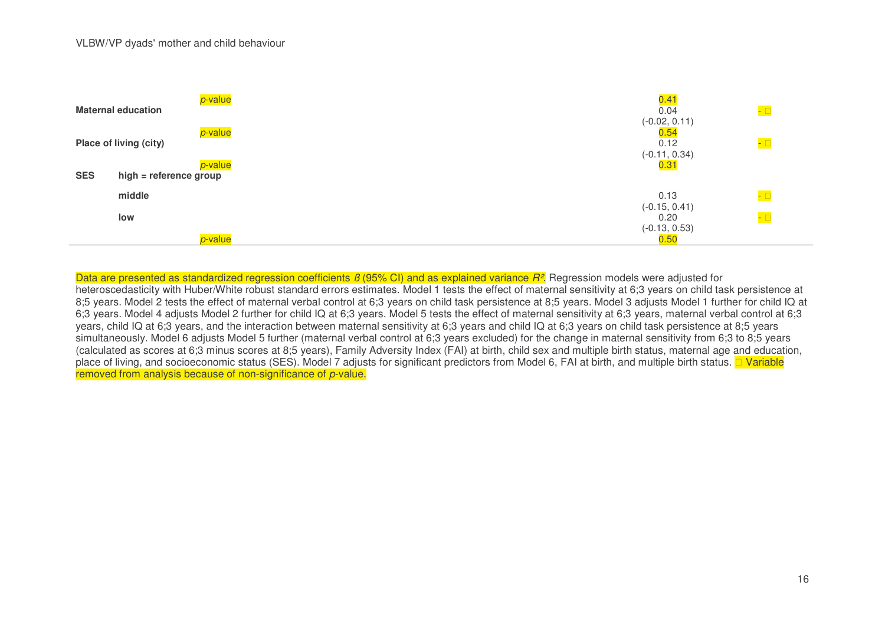

Data are presented as standardized regression coefficients *ß* (95% CI) and as explained variance *R²*. Regression models were adjusted for heteroscedasticity with Huber/White robust standard errors estimates. Model 1 tests the effect of maternal sensitivity at 6;3 years on child task persistence at 8;5 years. Model 2 tests the effect of maternal verbal control at 6;3 years on child task persistence at 8;5 years. Model 3 adjusts Model 1 further for child IQ at 6;3 years. Model 4 adjusts Model 2 further for child IQ at 6;3 years. Model 5 tests the effect of maternal sensitivity at 6;3 years, maternal verbal control at 6;3 years, child IQ at 6;3 years, and the interaction between maternal sensitivity at 6;3 years and child IQ at 6;3 years on child task persistence at 8;5 years simultaneously. Model 6 adjusts Model 5 further (maternal verbal control at 6;3 years excluded) for the change in maternal sensitivity from 6;3 to 8;5 years (calculated as scores at 6;3 minus scores at 8;5 years), Family Adversity Index (FAI) at birth, child sex and multiple birth status, maternal age and education, place of living, and socioeconomic status (SES). Model 7 adjusts for significant predictors from Model 6, FAI at birth, and multiple birth status. Pariable removed from analysis because of non-significance of *p*-value.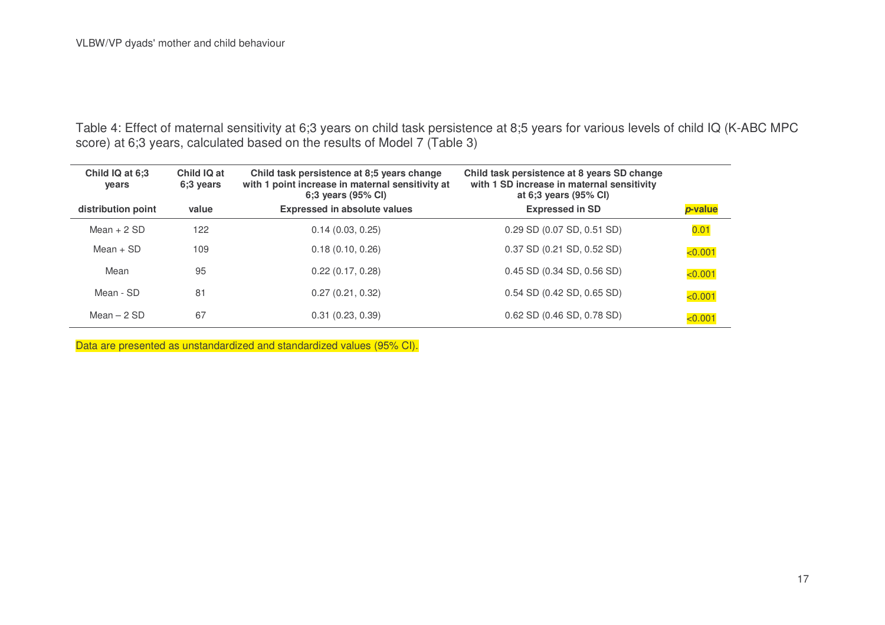Table 4: Effect of maternal sensitivity at 6;3 years on child task persistence at 8;5 years for various levels of child IQ (K-ABC MPC score) at 6;3 years, calculated based on the results of Model 7 (Table 3)

| Child IQ at 6:3<br><b>vears</b> | Child IQ at<br>6:3 years | Child task persistence at 8:5 years change<br>with 1 point increase in maternal sensitivity at<br>6:3 years (95% CI) | Child task persistence at 8 years SD change<br>with 1 SD increase in maternal sensitivity<br>at 6:3 years (95% CI) |         |
|---------------------------------|--------------------------|----------------------------------------------------------------------------------------------------------------------|--------------------------------------------------------------------------------------------------------------------|---------|
| distribution point              | value                    | <b>Expressed in absolute values</b>                                                                                  | <b>Expressed in SD</b>                                                                                             | p-value |
| Mean $+2$ SD                    | 122                      | 0.14(0.03, 0.25)                                                                                                     | 0.29 SD (0.07 SD, 0.51 SD)                                                                                         | 0.01    |
| $Mean + SD$                     | 109                      | 0.18(0.10, 0.26)                                                                                                     | $0.37$ SD $(0.21$ SD, $0.52$ SD)                                                                                   | < 0.001 |
| Mean                            | 95                       | 0.22(0.17, 0.28)                                                                                                     | $0.45$ SD $(0.34$ SD, $0.56$ SD)                                                                                   | < 0.001 |
| Mean - SD                       | 81                       | 0.27(0.21, 0.32)                                                                                                     | $0.54$ SD $(0.42$ SD, $0.65$ SD)                                                                                   | < 0.001 |
| $Mean - 2 SD$                   | 67                       | 0.31(0.23, 0.39)                                                                                                     | $0.62$ SD $(0.46$ SD, $0.78$ SD)                                                                                   | < 0.001 |

Data are presented as unstandardized and standardized values (95% CI).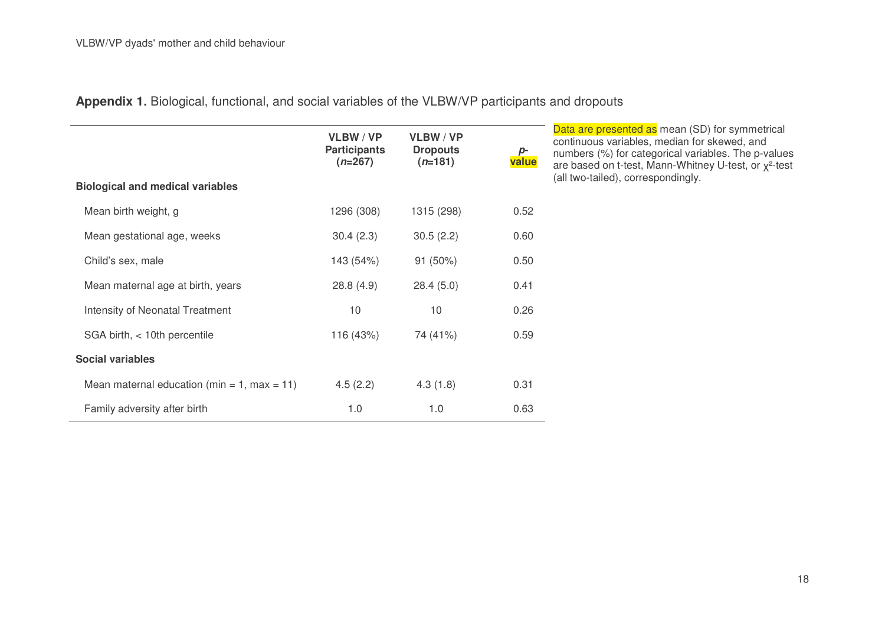**Appendix 1.** Biological, functional, and social variables of the VLBW/VP participants and dropouts

| <b>Biological and medical variables</b>     | <b>VLBW/VP</b><br><b>Participants</b><br>$(n=267)$ | <b>VLBW/VP</b><br><b>Dropouts</b><br>$(n=181)$ | <u>p-</u><br>value | Data are presented as mean (SD) for symmetrical<br>continuous variables, median for skewed, and<br>numbers (%) for categorical variables. The p-values<br>are based on t-test, Mann-Whitney U-test, or x <sup>2</sup> -test<br>(all two-tailed), correspondingly. |
|---------------------------------------------|----------------------------------------------------|------------------------------------------------|--------------------|-------------------------------------------------------------------------------------------------------------------------------------------------------------------------------------------------------------------------------------------------------------------|
|                                             |                                                    |                                                |                    |                                                                                                                                                                                                                                                                   |
| Mean birth weight, g                        | 1296 (308)                                         | 1315 (298)                                     | 0.52               |                                                                                                                                                                                                                                                                   |
| Mean gestational age, weeks                 | 30.4(2.3)                                          | 30.5(2.2)                                      | 0.60               |                                                                                                                                                                                                                                                                   |
| Child's sex, male                           | 143 (54%)                                          | 91 (50%)                                       | 0.50               |                                                                                                                                                                                                                                                                   |
| Mean maternal age at birth, years           | 28.8(4.9)                                          | 28.4(5.0)                                      | 0.41               |                                                                                                                                                                                                                                                                   |
| <b>Intensity of Neonatal Treatment</b>      | 10                                                 | 10                                             | 0.26               |                                                                                                                                                                                                                                                                   |
| SGA birth, $<$ 10th percentile              | 116 (43%)                                          | 74 (41%)                                       | 0.59               |                                                                                                                                                                                                                                                                   |
| <b>Social variables</b>                     |                                                    |                                                |                    |                                                                                                                                                                                                                                                                   |
| Mean maternal education (min = 1, max = 11) | 4.5(2.2)                                           | 4.3(1.8)                                       | 0.31               |                                                                                                                                                                                                                                                                   |
| Family adversity after birth                | 1.0                                                | 1.0                                            | 0.63               |                                                                                                                                                                                                                                                                   |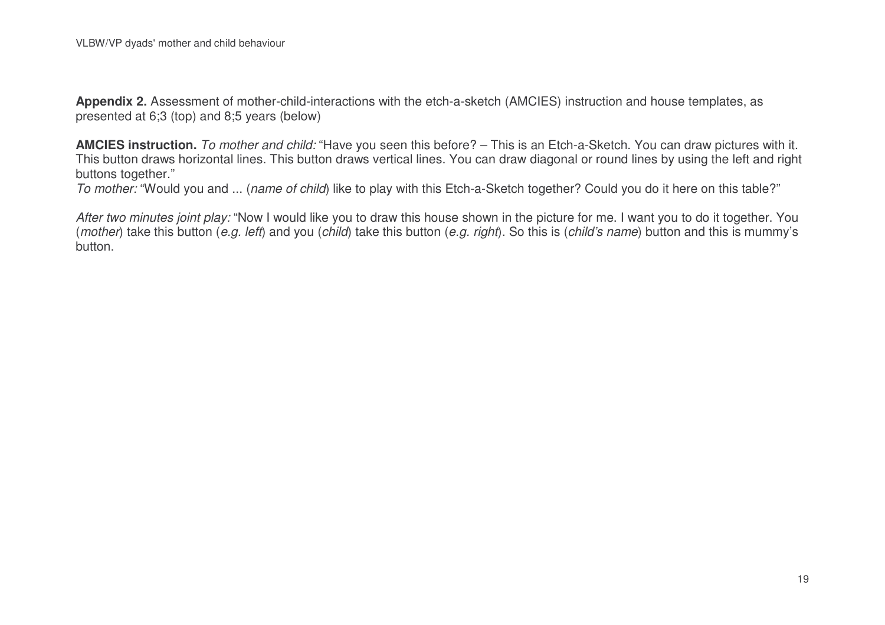**Appendix 2.** Assessment of mother-child-interactions with the etch-a-sketch (AMCIES) instruction and house templates, as presented at 6;3 (top) and 8;5 years (below)

**AMCIES instruction.** *To mother and child:* "Have you seen this before? – This is an Etch-a-Sketch. You can draw pictures with it. This button draws horizontal lines. This button draws vertical lines. You can draw diagonal or round lines by using the left and right buttons together."

*To mother:* "Would you and ... (*name of child*) like to play with this Etch-a-Sketch together? Could you do it here on this table?"

*After two minutes joint play:* "Now I would like you to draw this house shown in the picture for me. I want you to do it together. You (*mother*) take this button (*e.g. left*) and you (*child*) take this button (*e.g. right*). So this is (*child's name*) button and this is mummy's button.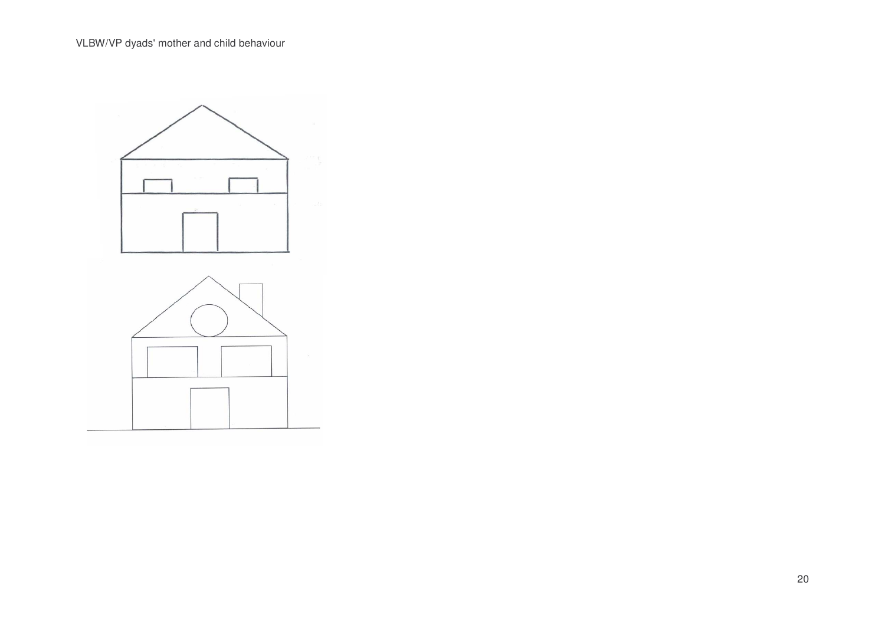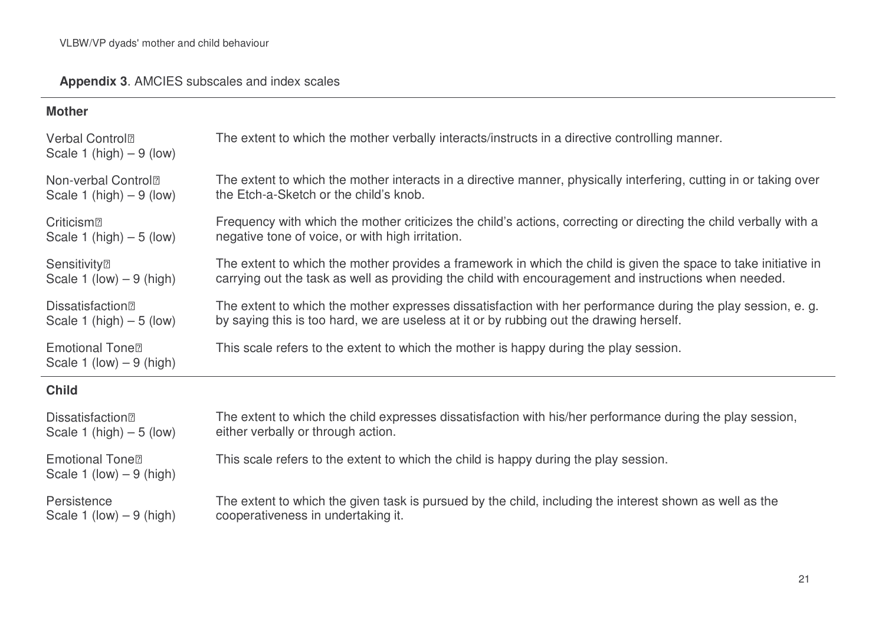# **Appendix 3**. AMCIES subscales and index scales

#### **Mother**

| <b>Verbal Control</b><br>Scale 1 (high) $-9$ (low) | The extent to which the mother verbally interacts/instructs in a directive controlling manner.                    |
|----------------------------------------------------|-------------------------------------------------------------------------------------------------------------------|
| Non-verbal Control                                 | The extent to which the mother interacts in a directive manner, physically interfering, cutting in or taking over |
| Scale 1 (high) $-9$ (low)                          | the Etch-a-Sketch or the child's knob.                                                                            |
| Criticism                                          | Frequency with which the mother criticizes the child's actions, correcting or directing the child verbally with a |
| Scale 1 (high) $-5$ (low)                          | negative tone of voice, or with high irritation.                                                                  |
| Sensitivity                                        | The extent to which the mother provides a framework in which the child is given the space to take initiative in   |
| Scale 1 (low) $-9$ (high)                          | carrying out the task as well as providing the child with encouragement and instructions when needed.             |
| <b>Dissatisfaction</b>                             | The extent to which the mother expresses dissatisfaction with her performance during the play session, e. g.      |
| Scale 1 (high) $-5$ (low)                          | by saying this is too hard, we are useless at it or by rubbing out the drawing herself.                           |
| <b>Emotional Tone</b><br>Scale 1 (low) $-9$ (high) | This scale refers to the extent to which the mother is happy during the play session.                             |
| <b>Child</b>                                       |                                                                                                                   |
| <b>Dissatisfaction</b>                             | The extent to which the child expresses dissatisfaction with his/her performance during the play session,         |
| Scale 1 (high) $-5$ (low)                          | either verbally or through action.                                                                                |
| <b>Emotional Tone</b><br>Scale 1 (low) $-9$ (high) | This scale refers to the extent to which the child is happy during the play session.                              |
| Persistence                                        | The extent to which the given task is pursued by the child, including the interest shown as well as the           |
| Scale 1 (low) $-9$ (high)                          | cooperativeness in undertaking it.                                                                                |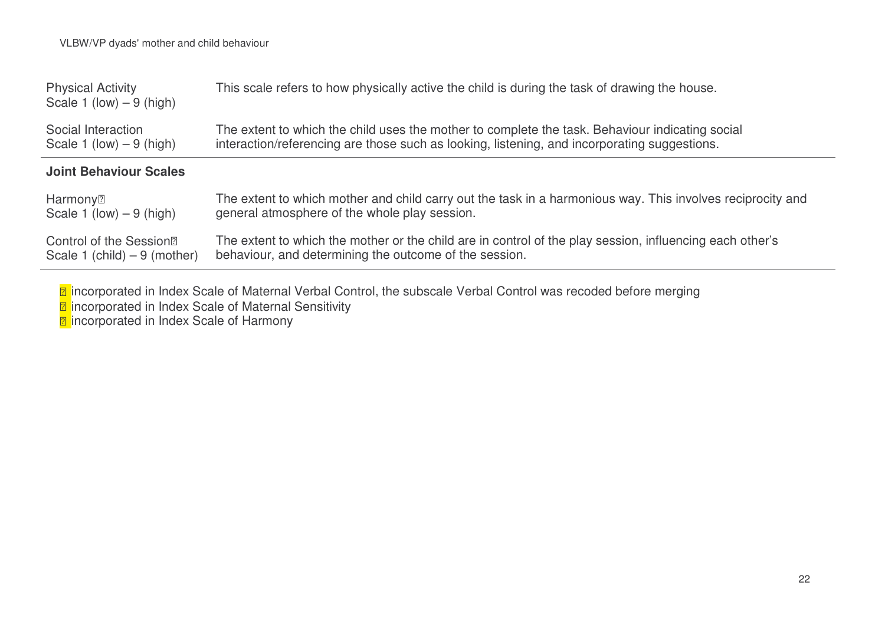| <b>Physical Activity</b><br>Scale 1 (low) $-9$ (high) | This scale refers to how physically active the child is during the task of drawing the house.              |
|-------------------------------------------------------|------------------------------------------------------------------------------------------------------------|
| Social Interaction                                    | The extent to which the child uses the mother to complete the task. Behaviour indicating social            |
| Scale 1 (low) $-9$ (high)                             | interaction/referencing are those such as looking, listening, and incorporating suggestions.               |
| <b>Joint Behaviour Scales</b>                         |                                                                                                            |
| Harmony                                               | The extent to which mother and child carry out the task in a harmonious way. This involves reciprocity and |
| Scale 1 (low) $-9$ (high)                             | general atmosphere of the whole play session.                                                              |
| Control of the Session                                | The extent to which the mother or the child are in control of the play session, influencing each other's   |
| Scale 1 (child) $-9$ (mother)                         | behaviour, and determining the outcome of the session.                                                     |
|                                                       |                                                                                                            |

**n** incorporated in Index Scale of Maternal Verbal Control, the subscale Verbal Control was recoded before merging **n**incorporated in Index Scale of Maternal Sensitivity **incorporated in Index Scale of Harmony**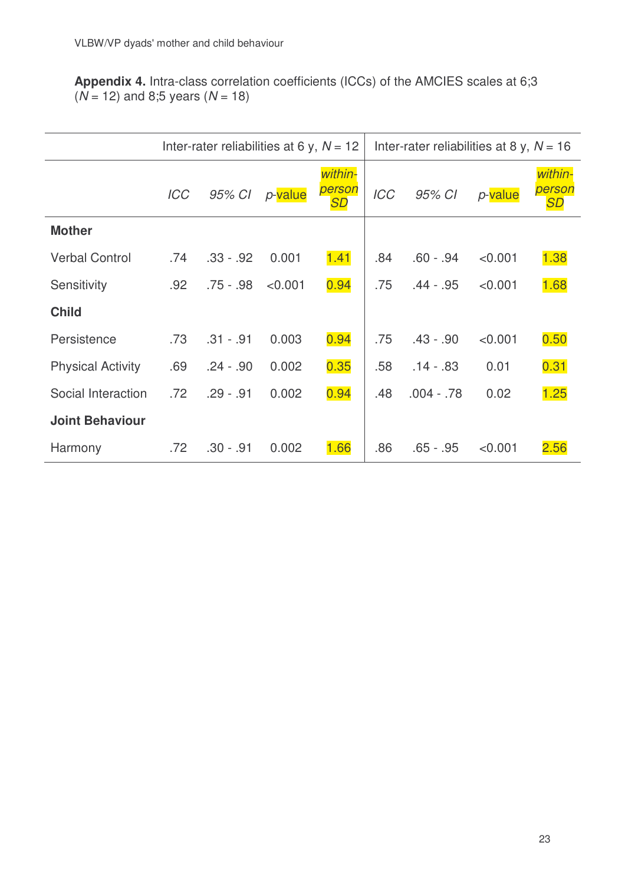**Appendix 4.** Intra-class correlation coefficients (ICCs) of the AMCIES scales at 6;3  $(N = 12)$  and 8;5 years  $(N = 18)$ 

|                          | Inter-rater reliabilities at 6 y, $N = 12$ |             |         |                                |     | Inter-rater reliabilities at 8 y, $N = 16$ |         |                                |  |  |
|--------------------------|--------------------------------------------|-------------|---------|--------------------------------|-----|--------------------------------------------|---------|--------------------------------|--|--|
|                          | <b>ICC</b>                                 | 95% CI      | p-value | within-<br>person<br><u>SD</u> | ICC | 95% CI                                     | p-value | within-<br>person<br><u>SD</u> |  |  |
| <b>Mother</b>            |                                            |             |         |                                |     |                                            |         |                                |  |  |
| <b>Verbal Control</b>    | .74                                        | $.33 - .92$ | 0.001   | 1.41                           | .84 | $.60 - .94$                                | < 0.001 | 1.38                           |  |  |
| Sensitivity              | .92                                        | $.75 - .98$ | < 0.001 | 0.94                           | .75 | $.44 - .95$                                | < 0.001 | 1.68                           |  |  |
| <b>Child</b>             |                                            |             |         |                                |     |                                            |         |                                |  |  |
| Persistence              | .73                                        | $.31 - .91$ | 0.003   | 0.94                           | .75 | $.43 - .90$                                | < 0.001 | 0.50                           |  |  |
| <b>Physical Activity</b> | .69                                        | $.24 - .90$ | 0.002   | 0.35                           | .58 | $.14 - .83$                                | 0.01    | 0.31                           |  |  |
| Social Interaction       | .72                                        | $.29 - .91$ | 0.002   | 0.94                           | .48 | $.004 - .78$                               | 0.02    | 1.25                           |  |  |
| <b>Joint Behaviour</b>   |                                            |             |         |                                |     |                                            |         |                                |  |  |
| Harmony                  | .72                                        | $.30 - .91$ | 0.002   | 1.66                           | .86 | $.65 - .95$                                | < 0.001 | 2.56                           |  |  |